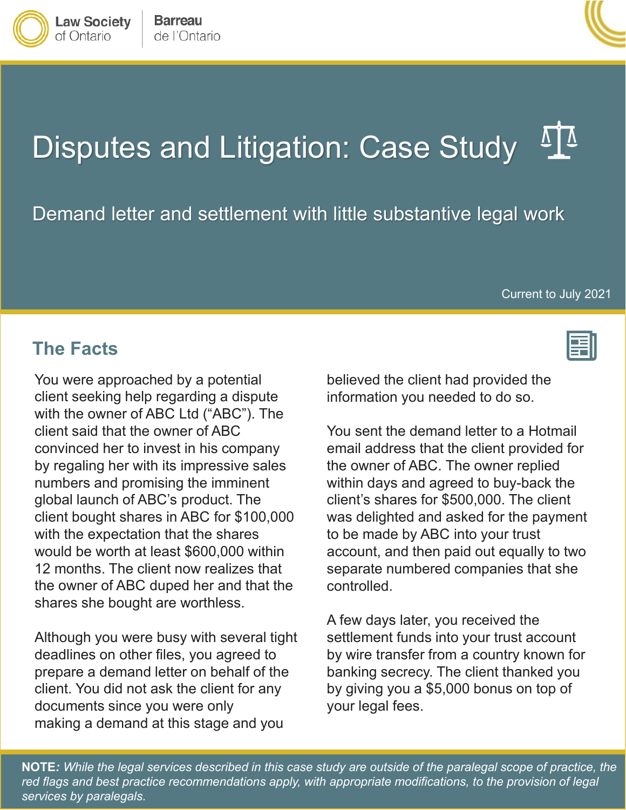

Demand letter and settlement with little substantive legal work<br>Current to July 2021

#### **The Facts**

 with the owner of ABC Ltd ("ABC"). The client said that the owner of ABC the owner of ABC duped her and that the You were approached by a potential client seeking help regarding a dispute convinced her to invest in his company by regaling her with its impressive sales numbers and promising the imminent global launch of ABC's product. The client bought shares in ABC for \$100,000 with the expectation that the shares would be worth at least \$600,000 within 12 months. The client now realizes that shares she bought are worthless.

 client. You did not ask the client for any Although you were busy with several tight deadlines on other files, you agreed to prepare a demand letter on behalf of the documents since you were only making a demand at this stage and you

believed the client had provided the information you needed to do so.

 the owner of ABC. The owner replied client's shares for \$500,000. The client You sent the demand letter to a Hotmail email address that the client provided for within days and agreed to buy-back the was delighted and asked for the payment to be made by ABC into your trust account, and then paid out equally to two separate numbered companies that she controlled.

 A few days later, you received the banking secrecy. The client thanked you settlement funds into your trust account by wire transfer from a country known for by giving you a \$5,000 bonus on top of your legal fees.

 **NOTE***: While the legal services described in this case study are outside of the paralegal scope of practice, the red flags and best practice recommendations apply, with appropriate modifications, to the provision of legal services by paralegals.* 





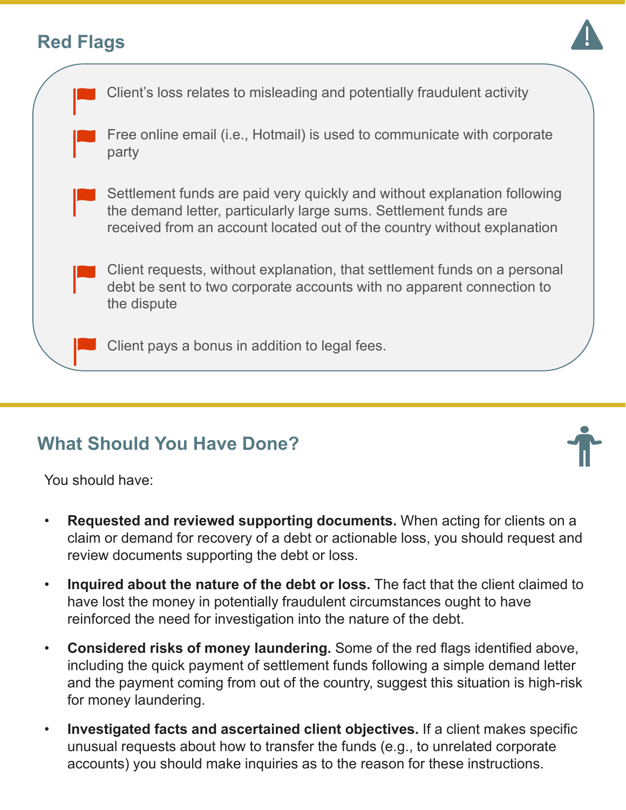# **Red Flags**





# **What Should You Have Done?**

You should have:

- **Requested and reviewed supporting documents.** When acting for clients on a claim or demand for recovery of a debt or actionable loss, you should request and review documents supporting the debt or loss.
- **Inquired about the nature of the debt or loss.** The fact that the client claimed to reinforced the need for investigation into the nature of the debt. have lost the money in potentially fraudulent circumstances ought to have
- **Considered risks of money laundering.** Some of the red flags identified above, and the payment coming from out of the country, suggest this situation is high-risk including the quick payment of settlement funds following a simple demand letter for money laundering.
- **Investigated facts and ascertained client objectives.** If a client makes specific unusual requests about how to transfer the funds (e.g., to unrelated corporate accounts) you should make inquiries as to the reason for these instructions.